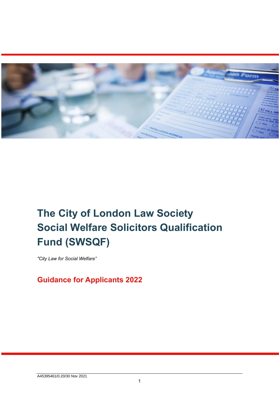

# **The City of London Law Society Social Welfare Solicitors Qualification Fund (SWSQF)**

*"City Law for Social Welfare"* 

## **Guidance for Applicants 2022**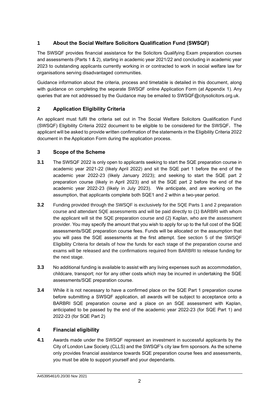## **1 About the Social Welfare Solicitors Qualification Fund (SWSQF)**

The SWSQF provides financial assistance for the Solicitors Qualifying Exam preparation courses and assessments (Parts 1 & 2), starting in academic year 2021/22 and concluding in academic year 2023 to outstanding applicants currently working in or contracted to work in social welfare law for organisations serving disadvantaged communities.

Guidance information about the criteria, process and timetable is detailed in this document, along with guidance on completing the separate SWSQF online Application Form (at Appendix 1). Any queries that are not addressed by the Guidance may be emailed to SWSQF@citysolicitors.org.uk.

## **2 Application Eligibility Criteria**

An applicant must fulfil the criteria set out in The Social Welfare Solicitors Qualification Fund (SWSQF) Eligibility Criteria 2022 document to be eligible to be considered for the SWSQF**.** The applicant will be asked to provide written confirmation of the statements in the Eligibility Criteria 2022 document in the Application Form during the application process.

## **3 Scope of the Scheme**

- **3.1** The SWSQF 2022 is only open to applicants seeking to start the SQE preparation course in academic year 2021-22 (likely April 2022) and sit the SQE part 1 before the end of the academic year 2022-23 (likely January 2023); and seeking to start the SQE part 2 preparation course (likely in April 2023) and sit the SQE part 2 before the end of the academic year 2022-23 (likely in July 2023). We anticipate, and are working on the assumption, that applicants complete both SQE1 and 2 within a two-year period.
- **3.2** Funding provided through the SWSQF is exclusively for the SQE Parts 1 and 2 preparation course and attendant SQE assessments and will be paid directly to (1) BARBRI with whom the applicant will sit the SQE preparation course and (2) Kaplan, who are the assessment provider. You may specify the amount that you wish to apply for up to the full cost of the SQE assessments/SQE preparation course fees. Funds will be allocated on the assumption that you will pass the SQE assessments at the first attempt. See section 5 of the SWSQF Eligibility Criteria for details of how the funds for each stage of the preparation course and exams will be released and the confirmations required from BARBRI to release funding for the next stage.
- **3.3** No additional funding is available to assist with any living expenses such as accommodation, childcare, transport; nor for any other costs which may be incurred in undertaking the SQE assessments/SQE preparation course.
- **3.4** While it is not necessary to have a confirmed place on the SQE Part 1 preparation course before submitting a SWSQF application, all awards will be subject to acceptance onto a BARBRI SQE preparation course and a place on an SQE assessment with Kaplan, anticipated to be passed by the end of the academic year 2022-23 (for SQE Part 1) and 2022-23 (for SQE Part 2)

## **4 Financial eligibility**

**4.1** Awards made under the SWSQF represent an investment in successful applicants by the City of London Law Society (CLLS) and the SWSQF's city law firm sponsors. As the scheme only provides financial assistance towards SQE preparation course fees and assessments, you must be able to support yourself and your dependants.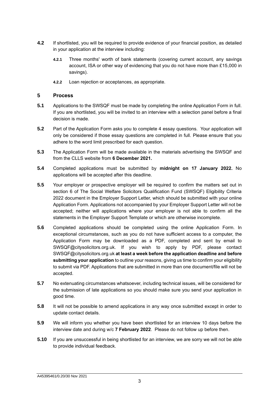- **4.2** If shortlisted, you will be required to provide evidence of your financial position, as detailed in your application at the interview including:
	- **4.2.1** Three months' worth of bank statements (covering current account, any savings account, ISA or other way of evidencing that you do not have more than £15,000 in savings).
	- **4.2.2** Loan rejection or acceptances, as appropriate.

#### **5 Process**

- **5.1** Applications to the SWSQF must be made by completing the online Application Form in full. If you are shortlisted, you will be invited to an interview with a selection panel before a final decision is made.
- **5.2** Part of the Application Form asks you to complete 4 essay questions. Your application will only be considered if those essay questions are completed in full. Please ensure that you adhere to the word limit prescribed for each question.
- **5.3** The Application Form will be made available in the materials advertising the SWSQF and from the CLLS website from **6 December 2021.**
- **5.4** Completed applications must be submitted by **midnight on 17 January 2022.** No applications will be accepted after this deadline.
- **5.5** Your employer or prospective employer will be required to confirm the matters set out in section 6 of The Social Welfare Solicitors Qualification Fund (SWSQF) Eligibility Criteria 2022 document in the Employer Support Letter, which should be submitted with your online Application Form. Applications not accompanied by your Employer Support Letter will not be accepted; neither will applications where your employer is not able to confirm all the statements in the Employer Support Template or which are otherwise incomplete.
- **5.6** Completed applications should be completed using the online Application Form. In exceptional circumstances, such as you do not have sufficient access to a computer, the Application Form may be downloaded as a PDF, completed and sent by email to SWSQF@citysolicitors.org.uk. If you wish to apply by PDF, please contact SWSQF@citysolicitors.org.uk **at least a week before the application deadline and before submitting your application** to outline your reasons, giving us time to confirm your eligibility to submit via PDF. Applications that are submitted in more than one document/file will not be accepted.
- **5.7** No extenuating circumstances whatsoever, including technical issues, will be considered for the submission of late applications so you should make sure you send your application in good time.
- **5.8** It will not be possible to amend applications in any way once submitted except in order to update contact details.
- **5.9** We will inform you whether you have been shortlisted for an interview 10 days before the interview date and during w/c **7 February 2022**. Please do not follow up before then.
- **5.10** If you are unsuccessful in being shortlisted for an interview, we are sorry we will not be able to provide individual feedback.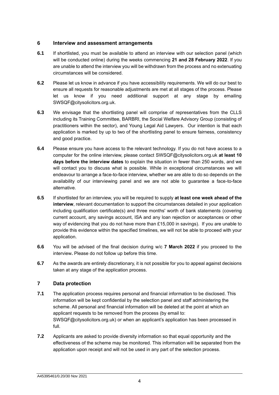### **6 Interview and assessment arrangements**

- **6.1** If shortlisted, you must be available to attend an interview with our selection panel (which will be conducted online) during the weeks commencing **21 and 28 February 2022**. If you are unable to attend the interview you will be withdrawn from the process and no extenuating circumstances will be considered.
- **6.2** Please let us know in advance if you have accessibility requirements. We will do our best to ensure all requests for reasonable adjustments are met at all stages of the process. Please let us know if you need additional support at any stage by emailing SWSQF@citysolicitors.org.uk.
- **6.3** We envisage that the shortlisting panel will comprise of representatives from the CLLS including its Training Committee, BARBRI, the Social Welfare Advisory Group (consisting of practitioners within the sector), and Young Legal Aid Lawyers. Our intention is that each application is marked by up to two of the shortlisting panel to ensure fairness, consistency and good practice.
- **6.4** Please ensure you have access to the relevant technology. If you do not have access to a computer for the online interview, please contact SWSQF@citysolicitors.org.uk **at least 10 days before the interview dates** to explain the situation in fewer than 250 words, and we will contact you to discuss what is possible. While in exceptional circumstances we will endeavour to arrange a face-to-face interview, whether we are able to do so depends on the availability of our interviewing panel and we are not able to guarantee a face-to-face alternative.
- **6.5** If shortlisted for an interview, you will be required to supply **at least one week ahead of the interview**, relevant documentation to support the circumstances detailed in your application including qualification certificate(s) and three months' worth of bank statements (covering current account, any savings account, ISA and any loan rejection or acceptances or other way of evidencing that you do not have more than £15,000 in savings). If you are unable to provide this evidence within the specified timelines, we will not be able to proceed with your application.
- **6.6** You will be advised of the final decision during w/c **7 March 2022** if you proceed to the interview**.** Please do not follow up before this time.
- **6.7** As the awards are entirely discretionary, it is not possible for you to appeal against decisions taken at any stage of the application process.

### **7 Data protection**

- **7.1** The application process requires personal and financial information to be disclosed. This information will be kept confidential by the selection panel and staff administering the scheme. All personal and financial information will be deleted at the point at which an applicant requests to be removed from the process (by email to: SWSQF@citysolicitors.org.uk) or when an applicant's application has been processed in full.
- **7.2** Applicants are asked to provide diversity information so that equal opportunity and the effectiveness of the scheme may be monitored. This information will be separated from the application upon receipt and will not be used in any part of the selection process.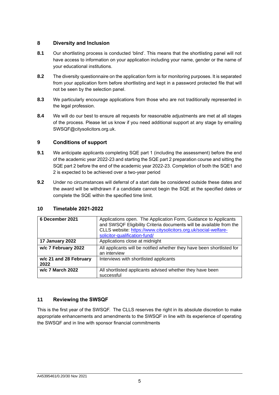## **8 Diversity and Inclusion**

- **8.1** Our shortlisting process is conducted 'blind'. This means that the shortlisting panel will not have access to information on your application including your name, gender or the name of your educational institutions.
- **8.2** The diversity questionnaire on the application form is for monitoring purposes. It is separated from your application form before shortlisting and kept in a password protected file that will not be seen by the selection panel.
- **8.3** We particularly encourage applications from those who are not traditionally represented in the legal profession.
- **8.4** We will do our best to ensure all requests for reasonable adjustments are met at all stages of the process. Please let us know if you need additional support at any stage by emailing SWSQF@citysolicitors.org.uk.

## **9 Conditions of support**

- **9.1** We anticipate applicants completing SQE part 1 (including the assessment) before the end of the academic year 2022-23 and starting the SQE part 2 preparation course and sitting the SQE part 2 before the end of the academic year 2022-23. Completion of both the SQE1 and 2 is expected to be achieved over a two-year period
- **9.2** Under no circumstances will deferral of a start date be considered outside these dates and the award will be withdrawn if a candidate cannot begin the SQE at the specified dates or complete the SQE within the specified time limit.

| 6 December 2021                | Applications open. The Application Form, Guidance to Applicants<br>and SWSQF Eligibility Criteria documents will be available from the<br>CLLS website: https://www.citysolicitors.org.uk/social-welfare-<br>solicitor-qualification-fund/ |
|--------------------------------|--------------------------------------------------------------------------------------------------------------------------------------------------------------------------------------------------------------------------------------------|
| 17 January 2022                | Applications close at midnight                                                                                                                                                                                                             |
| w/c 7 February 2022            | All applicants will be notified whether they have been shortlisted for<br>an interview                                                                                                                                                     |
| w/c 21 and 28 February<br>2022 | Interviews with shortlisted applicants                                                                                                                                                                                                     |
| w/c 7 March 2022               | All shortlisted applicants advised whether they have been<br>successful                                                                                                                                                                    |

### **10 Timetable 2021-2022**

### **11 Reviewing the SWSQF**

This is the first year of the SWSQF. The CLLS reserves the right in its absolute discretion to make appropriate enhancements and amendments to the SWSQF in line with its experience of operating the SWSQF and in line with sponsor financial commitments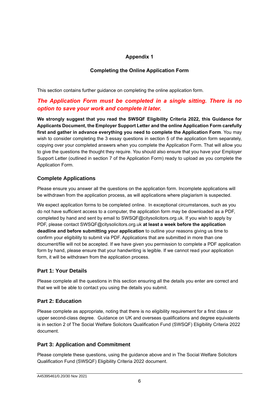## **Appendix 1**

## **Completing the Online Application Form**

This section contains further guidance on completing the online application form.

## *The Application Form must be completed in a single sitting. There is no option to save your work and complete it later.*

**We strongly suggest that you read the SWSQF Eligibility Criteria 2022, this Guidance for Applicants Document, the Employer Support Letter and the online Application Form carefully first and gather in advance everything you need to complete the Application Form**. You may wish to consider completing the 3 essay questions in section 5 of the application form separately, copying over your completed answers when you complete the Application Form. That will allow you to give the questions the thought they require. You should also ensure that you have your Employer Support Letter (outlined in section 7 of the Application Form) ready to upload as you complete the Application Form.

## **Complete Applications**

Please ensure you answer all the questions on the application form. Incomplete applications will be withdrawn from the application process, as will applications where plagiarism is suspected.

We expect application forms to be completed online. In exceptional circumstances, such as you do not have sufficient access to a computer, the application form may be downloaded as a PDF, completed by hand and sent by email to SWSQF@citysolicitors.org.uk. If you wish to apply by PDF, please contact SWSQF@citysolicitors.org.uk **at least a week before the application deadline and before submitting your application** to outline your reasons giving us time to confirm your eligibility to submit via PDF. Applications that are submitted in more than one document/file will not be accepted. If we have given you permission to complete a PDF application form by hand, please ensure that your handwriting is legible. If we cannot read your application form, it will be withdrawn from the application process.

## **Part 1: Your Details**

Please complete all the questions in this section ensuring all the details you enter are correct and that we will be able to contact you using the details you submit.

## **Part 2: Education**

Please complete as appropriate, noting that there is no eligibility requirement for a first class or upper second-class degree. Guidance on UK and overseas qualifications and degree equivalents is in section 2 of The Social Welfare Solicitors Qualification Fund (SWSQF) Eligibility Criteria 2022 document.

## **Part 3: Application and Commitment**

Please complete these questions, using the guidance above and in The Social Welfare Solicitors Qualification Fund (SWSQF) Eligibility Criteria 2022 document.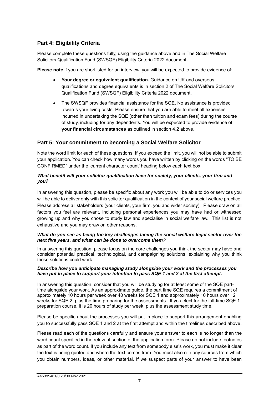## **Part 4: Eligibility Criteria**

Please complete these questions fully, using the guidance above and in The Social Welfare Solicitors Qualification Fund (SWSQF) Eligibility Criteria 2022 document**.**

**Please note** if you are shortlisted for an interview, you will be expected to provide evidence of:

- **Your degree or equivalent qualification.** Guidance on UK and overseas qualifications and degree equivalents is in section 2 of The Social Welfare Solicitors Qualification Fund (SWSQF) Eligibility Criteria 2022 document.
- The SWSQF provides financial assistance for the SQE. No assistance is provided towards your living costs. Please ensure that you are able to meet all expenses incurred in undertaking the SQE (other than tuition and exam fees) during the course of study, including for any dependents. You will be expected to provide evidence of **your financial circumstances** as outlined in section 4.2 above.

## **Part 5: Your commitment to becoming a Social Welfare Solicitor**

Note the word limit for each of these questions. If you exceed the limit, you will not be able to submit your application. You can check how many words you have written by clicking on the words "TO BE CONFIRMED" under the 'current character count' heading below each text box.

#### *What benefit will your solicitor qualification have for society, your clients, your firm and you?*

In answering this question, please be specific about any work you will be able to do or services you will be able to deliver only with this solicitor qualification in the context of your social welfare practice. Please address all stakeholders (your clients, your firm, you and wider society). Please draw on all factors you feel are relevant, including personal experiences you may have had or witnessed growing up and why you chose to study law and specialise in social welfare law. This list is not exhaustive and you may draw on other reasons.

#### *What do you see as being the key challenges facing the social welfare legal sector over the next five years, and what can be done to overcome them?*

In answering this question, please focus on the core challenges you think the sector may have and consider potential practical, technological, and campaigning solutions, explaining why you think those solutions could work.

#### *Describe how you anticipate managing study alongside your work and the processes you have put in place to support your intention to pass SQE 1 and 2 at the first attempt.*

In answering this question, consider that you will be studying for at least some of the SQE parttime alongside your work. As an approximate guide, the part time SQE requires a commitment of approximately 10 hours per week over 40 weeks for SQE 1 and approximately 10 hours over 12 weeks for SQE 2, plus the time preparing for the assessments. If you elect for the full-time SQE 1 preparation course, it is 20 hours of study per week, plus the assessment study time.

Please be specific about the processes you will put in place to support this arrangement enabling you to successfully pass SQE 1 and 2 at the first attempt and within the timelines described above.

Please read each of the questions carefully and ensure your answer to each is no longer than the word count specified in the relevant section of the application form. Please do not include footnotes as part of the word count. If you include any text from somebody else's work, you must make it clear the text is being quoted and where the text comes from. You must also cite any sources from which you obtain numbers, ideas, or other material. If we suspect parts of your answer to have been